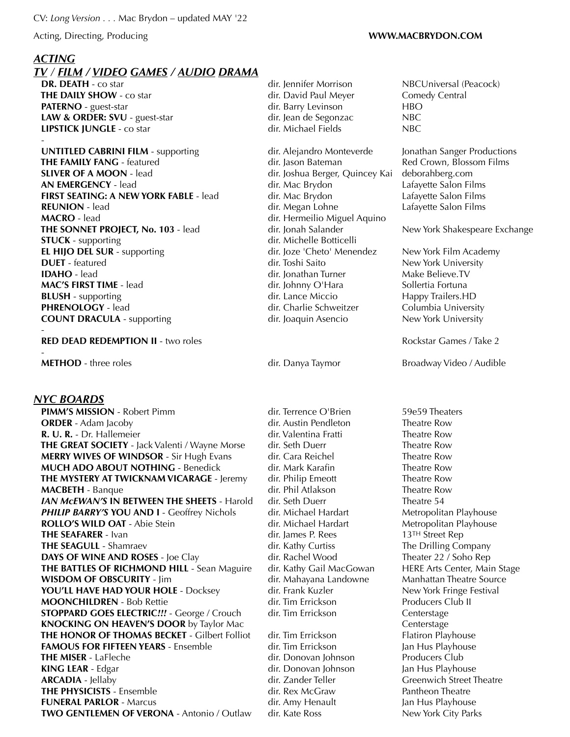Acting, Directing, Producing **WWW.MACBRYDON.COM**

## *ACTING*

# *TV / FILM / VIDEO GAMES / AUDIO DRAMA*

**DR. DEATH** - co star **direct and some control of the starting direct Morrison MBCUniversal (Peacock) THE DAILY SHOW** - co star **dir.** David Paul Meyer Comedy Central **PATERNO** - guest-star **direct and the start direct of the direct of the direct of the HBO LAW & ORDER: SVU** - guest-star dir. Jean de Segonzac NBC<br> **LIPSTICK IUNGLE** - co star dir. Michael Fields NBC **LIPSTICK JUNGLE** - co star dir. Michael Fields NBC -

**UNTITLED CABRINI FILM** - supporting dir. Alejandro Monteverde Jonathan Sanger Productions **THE FAMILY FANG** - featured **dir.** Jason Bateman Red Crown, Blossom Films **SLIVER OF A MOON** - lead dir. Joshua Berger, Quincey Kai [deborahberg.com](http://deborahberg.com) **AN EMERGENCY** - lead **and a computer of the contract of the dir.** Mac Brydon **Contract Latayette Salon Films FIRST SEATING: A NEW YORK FABLE** - lead dir. Mac Brydon Lafayette Salon Films **REUNION** - lead **CONICERTY 1980 dir.** Megan Lohne Lafayette Salon Films **MACRO** - lead dir. Hermeilio Miguel Aquino **THE SONNET PROJECT, No. 103** - lead dir. Jonah Salander New York Shakespeare Exchange **STUCK** - supporting dir. Michelle Botticelli **EL HIJO DEL SUR** - supporting dir. Joze 'Cheto' Menendez New York Film Academy **DUET** - featured **DUET** - featured **dir.** Toshi Saito New York University **IDAHO** - lead **direct of the direct of direct of the direct of the Make Believe.TV MAC'S FIRST TIME** - lead **dir.** Johnny O'Hara Sollertia Fortuna **BLUSH** - supporting **dir.** Lance Miccio **Happy Trailers.HD PHRENOLOGY** - lead **dir.** Charlie Schweitzer **Columbia University COUNT DRACULA** - supporting dir. Joaquin Asencio New York University

### **RED DEAD REDEMPTION II** - two roles **RED DEAD REDEMPTION II** - two roles Rockstar Games / Take 2

-

## *NYC BOARDS*

-

**PIMM'S MISSION** - Robert Pimm dir. Terrence O'Brien 59e59 Theaters **ORDER** - Adam Jacoby **dir.** Austin Pendleton Theatre Row **R. U. R.** - Dr. Hallemeier **directs** dir. Valentina Fratti Theatre Row **THE GREAT SOCIETY** - Jack Valenti / Wayne Morse dir. Seth Duerr Theatre Row **MERRY WIVES OF WINDSOR** - Sir Hugh Evans dir. Cara Reichel Theatre Row **MUCH ADO ABOUT NOTHING** - Benedick dir. Mark Karafin Theatre Row **THE MYSTERY AT TWICKNAM VICARAGE** - Jeremy dir. Philip Emeott Theatre Row **MACBETH** - Banque **direct Example 2018** dir. Phil Atlakson Theatre Row *IAN MCEWAN'S* **IN BETWEEN THE SHEETS** - Harold dir. Seth Duerr Theatre 54 **PHILIP BARRY'S YOU AND I** - Geoffrey Nichols dir. Michael Hardart Metropolitan Playhouse **ROLLO'S WILD OAT** - Abie Stein **dir.** Michael Hardart Metropolitan Playhouse **THE SEAFARER** - Ivan dir. James P. Rees 13<sup>TH</sup> Street Rep **THE SEAGULL** - Shamraev **dir.** Kathy Curtiss The Drilling Company **DAYS OF WINE AND ROSES** - Joe Clay dir. Rachel Wood Theater 22 / Soho Rep **THE BATTLES OF RICHMOND HILL** - Sean Maguire dir. Kathy Gail MacGowan HERE Arts Center, Main Stage **WISDOM OF OBSCURITY** - Jim dir. Mahayana Landowne Manhattan Theatre Source **YOU'LL HAVE HAD YOUR HOLE** - Docksey dir. Frank Kuzler New York Fringe Festival **MOONCHILDREN** - Bob Rettie dir. Tim Errickson Producers Club II **STOPPARD GOES ELECTRIC***!!!* - George / Crouch dir. Tim Errickson Centerstage **KNOCKING ON HEAVEN'S DOOR** by Taylor Mac Centerstage Centerstage **THE HONOR OF THOMAS BECKET** - Gilbert Folliot dir. Tim Errickson Flatiron Playhouse **FAMOUS FOR FIFTEEN YEARS** - Ensemble dir. Tim Errickson Jan Hus Playhouse **THE MISER** - LaFleche **dir.** Donovan Johnson Producers Club **KING LEAR** - Edgar **dir.** Donovan Johnson Jan Hus Playhouse **ARCADIA** - Jellaby **dir.** Zander Teller Greenwich Street Theatre **THE PHYSICISTS** - Ensemble **Ensemble** dir. Rex McGraw Pantheon Theatre **FUNERAL PARLOR** - Marcus **dir.** Amy Henault Jan Hus Playhouse **TWO GENTLEMEN OF VERONA** - Antonio / Outlaw dir. Kate Ross New York City Parks

**METHOD** - three roles **dir.** Danya Taymor Broadway Video / Audible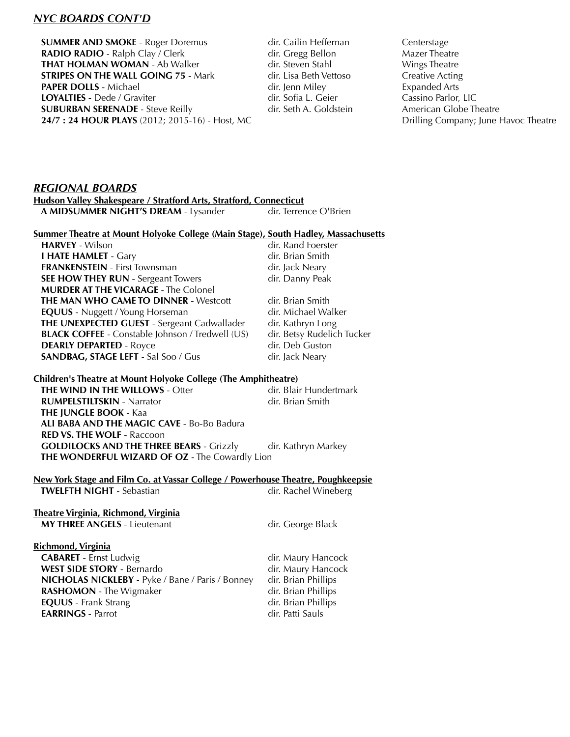## *NYC BOARDS CONT'D*

**SUMMER AND SMOKE** - Roger Doremus dir. Cailin Heffernan Centerstage **RADIO RADIO** - Ralph Clay / Clerk dir. Gregg Bellon Mazer Theatre **THAT HOLMAN WOMAN** - Ab Walker dir. Steven Stahl Wings Theatre **STRIPES ON THE WALL GOING 75** - Mark dir. Lisa Beth Vettoso Creative Acting **PAPER DOLLS** - Michael **Expanded Arts** dir. Jenn Miley **Expanded Arts LOYALTIES** - Dede / Graviter **dir.** Sofia L. Geier **Cassino Parlor, LIC SUBURBAN SERENADE** - Steve Reilly **dir.** Seth A. Goldstein American Globe Theatre **24/7 : 24 HOUR PLAYS** (2012; 2015-16) - Host, MC Drilling Company; June Havoc Theatre

## *REGIONAL BOARDS*

**Hudson Valley Shakespeare / Stratford Arts, Stratford, Connecticut A MIDSUMMER NIGHT'S DREAM** - Lysanderdir. Terrence O'Brien

#### **Summer Theatre at Mount Holyoke College (Main Stage), South Hadley, Massachusetts**

**HARVEY** - Wilson **CONFIGURATION dir.** Rand Foerster **I HATE HAMLET** - Gary **dir. Brian Smith FRANKENSTEIN** - First Townsman dir. Jack Neary **SEE HOW THEY RUN** - Sergeant Towers **dir. Danny Peak MURDER AT THE VICARAGE** - The Colonel **THE MAN WHO CAME TO DINNER** - Westcott dir. Brian Smith **EQUUS** - Nuggett / Young Horseman dir. Michael Walker **THE UNEXPECTED GUEST** - Sergeant Cadwallader dir. Kathryn Long **BLACK COFFEE** - Constable Johnson / Tredwell (US) dir. Betsy Rudelich Tucker **DEARLY DEPARTED** - Royce dir. Deb Guston **SANDBAG, STAGE LEFT** - Sal Soo / Gus dir. Jack Neary

## **Children's Theatre at Mount Holyoke College (The Amphitheatre)**

**THE WIND IN THE WILLOWS** - Otter dir. Blair Hundertmark **RUMPELSTILTSKIN** - Narrator dir. Brian Smith  **THE JUNGLE BOOK** - Kaa  **ALI BABA AND THE MAGIC CAVE** - Bo-Bo Badura  **RED VS. THE WOLF** - Raccoon **GOLDILOCKS AND THE THREE BEARS** - Grizzly dir. Kathryn Markey  **THE WONDERFUL WIZARD OF OZ** - The Cowardly Lion

## **New York Stage and Film Co. at Vassar College / Powerhouse Theatre, Poughkeepsie**

**TWELFTH NIGHT** - Sebastian *CHT* **CONSISTED 12** dir. Rachel Wineberg

#### **Theatre Virginia, Richmond, Virginia MY THREE ANGELS** - Lieutenant dir. George Black

| Richmond, Virginia                               |                     |
|--------------------------------------------------|---------------------|
| <b>CABARET</b> - Ernst Ludwig                    | dir. Maury Hancock  |
| <b>WEST SIDE STORY - Bernardo</b>                | dir. Maury Hancock  |
| NICHOLAS NICKLEBY - Pyke / Bane / Paris / Bonney | dir. Brian Phillips |
| <b>RASHOMON</b> - The Wigmaker                   | dir. Brian Phillips |
| <b>EQUUS</b> - Frank Strang                      | dir. Brian Phillips |
| <b>EARRINGS - Parrot</b>                         | dir. Patti Sauls    |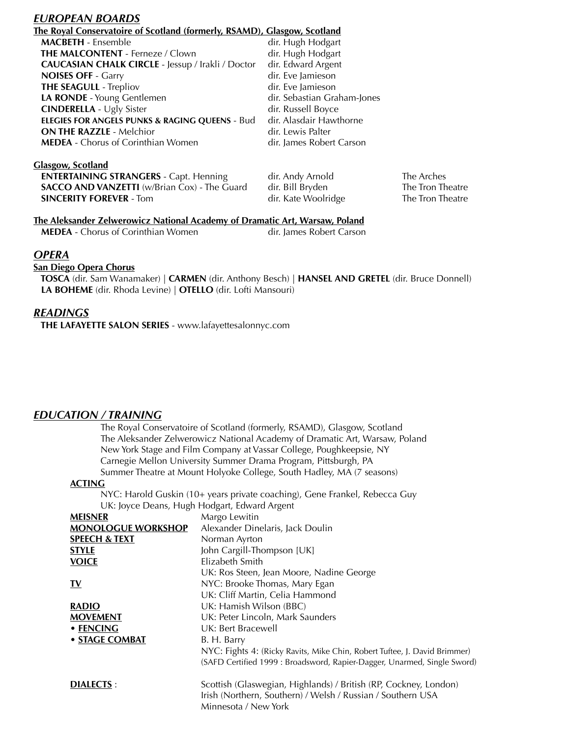## *EUROPEAN BOARDS*

## **The Royal Conservatoire of Scotland (formerly, RSAMD), Glasgow, Scotland**

| <b>MACBETH</b> - Ensemble                                 | dir. Hugh Hodgart           |
|-----------------------------------------------------------|-----------------------------|
| <b>THE MALCONTENT - Ferneze / Clown</b>                   | dir. Hugh Hodgart           |
| CAUCASIAN CHALK CIRCLE - Jessup / Irakli / Doctor         | dir. Edward Argent          |
| <b>NOISES OFF - Garry</b>                                 | dir. Eve Jamieson           |
| <b>THE SEAGULL - Trepliov</b>                             | dir. Eve Jamieson           |
| LA RONDE - Young Gentlemen                                | dir. Sebastian Graham-Jones |
| <b>CINDERELLA - Ugly Sister</b>                           | dir. Russell Boyce          |
| <b>ELEGIES FOR ANGELS PUNKS &amp; RAGING QUEENS - Bud</b> | dir. Alasdair Hawthorne     |
| <b>ON THE RAZZLE - Melchior</b>                           | dir. Lewis Palter           |
| <b>MEDEA</b> - Chorus of Corinthian Women                 | dir. James Robert Carson    |
|                                                           |                             |

**Glasgow, Scotland ENTERTAINING STRANGERS** - Capt. Henning dir. Andy Arnold The Arches<br> **SACCO AND VANZETTI** (w/Brian Cox) - The Guard dir. Bill Bryden The Tron Th **SACCO AND VANZETTI** (w/Brian Cox) - The Guard dir. Bill Bryden The Tron Theatre **SINCERITY FOREVER** - Tom dir. Kate Woolridge The Tron Theatre

## **The Aleksander Zelwerowicz National Academy of Dramatic Art, Warsaw, Poland**

**MEDEA** - Chorus of Corinthian Women dir. James Robert Carson

## *OPERA*

## **San Diego Opera Chorus**

 **TOSCA** (dir. Sam Wanamaker) | **CARMEN** (dir. Anthony Besch) | **HANSEL AND GRETEL** (dir. Bruce Donnell) **LA BOHEME** (dir. Rhoda Levine) | **OTELLO** (dir. Lofti Mansouri)

## *READINGS*

 **THE LAFAYETTE SALON SERIES** - [www.lafayettesalonnyc.com](http://www.lafayettesalonnyc.com)

## *EDUCATION / TRAINING*

The Royal Conservatoire of Scotland (formerly, RSAMD), Glasgow, Scotland The Aleksander Zelwerowicz National Academy of Dramatic Art, Warsaw, Poland New York Stage and Film Company at Vassar College, Poughkeepsie, NY Carnegie Mellon University Summer Drama Program, Pittsburgh, PA Summer Theatre at Mount Holyoke College, South Hadley, MA (7 seasons)

## **ACTING**

NYC: Harold Guskin (10+ years private coaching), Gene Frankel, Rebecca Guy UK: Joyce Deans, Hugh Hodgart, Edward Argent

| <b>MEISNER</b>            | Margo Lewitin                                                                                                                                           |
|---------------------------|---------------------------------------------------------------------------------------------------------------------------------------------------------|
| <b>MONOLOGUE WORKSHOP</b> | Alexander Dinelaris, Jack Doulin                                                                                                                        |
| <b>SPEECH &amp; TEXT</b>  | Norman Ayrton                                                                                                                                           |
| <b>STYLE</b>              | John Cargill-Thompson [UK]                                                                                                                              |
| <b>VOICE</b>              | Elizabeth Smith                                                                                                                                         |
|                           | UK: Ros Steen, Jean Moore, Nadine George                                                                                                                |
| <u>IV</u>                 | NYC: Brooke Thomas, Mary Egan                                                                                                                           |
|                           | UK: Cliff Martin, Celia Hammond                                                                                                                         |
| <b>RADIO</b>              | UK: Hamish Wilson (BBC)                                                                                                                                 |
| <b>MOVEMENT</b>           | UK: Peter Lincoln, Mark Saunders                                                                                                                        |
| • FENCING                 | UK: Bert Bracewell                                                                                                                                      |
| • STAGE COMBAT            | B. H. Barry                                                                                                                                             |
|                           | NYC: Fights 4: (Ricky Ravits, Mike Chin, Robert Tuftee, J. David Brimmer)                                                                               |
|                           | (SAFD Certified 1999 : Broadsword, Rapier-Dagger, Unarmed, Single Sword)                                                                                |
| <b>DIALECTS:</b>          | Scottish (Glaswegian, Highlands) / British (RP, Cockney, London)<br>Irish (Northern, Southern) / Welsh / Russian / Southern USA<br>Minnesota / New York |